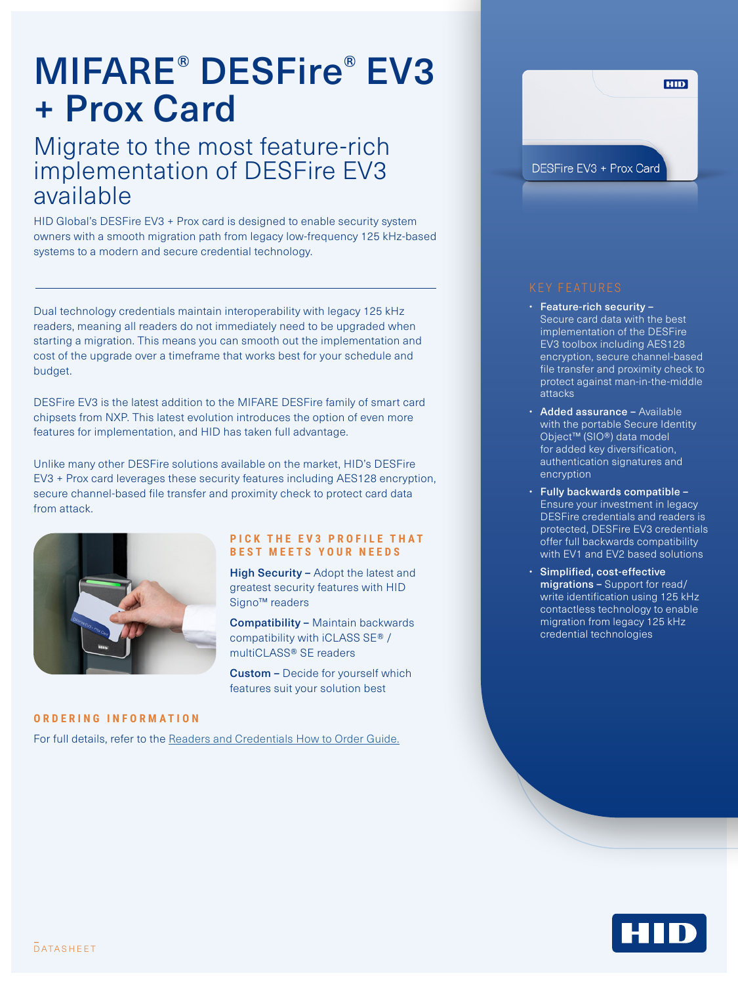# MIFARE® DESFire® EV3 + Prox Card

## Migrate to the most feature-rich implementation of DESFire EV3 available

HID Global's DESFire EV3 + Prox card is designed to enable security system owners with a smooth migration path from legacy low-frequency 125 kHz-based systems to a modern and secure credential technology.

Dual technology credentials maintain interoperability with legacy 125 kHz readers, meaning all readers do not immediately need to be upgraded when starting a migration. This means you can smooth out the implementation and cost of the upgrade over a timeframe that works best for your schedule and budget.

DESFire EV3 is the latest addition to the MIFARE DESFire family of smart card chipsets from NXP. This latest evolution introduces the option of even more features for implementation, and HID has taken full advantage.

Unlike many other DESFire solutions available on the market, HID's DESFire EV3 + Prox card leverages these security features including AES128 encryption, secure channel-based file transfer and proximity check to protect card data from attack.



### **PICK THE EV3 PROFILE THAT BEST MEETS YOUR NEEDS**

High Security - Adopt the latest and greatest security features with HID Signo™ readers

Compatibility – Maintain backwards compatibility with iCLASS SE® / multiCLASS® SE readers

Custom – Decide for yourself which features suit your solution best

### **ORDERING INFORMATION**

For full details, refer to the [Readers and Credentials How to Order Guide.](https://www.hidglobal.com/sites/default/files/resource_files/plt-02630_c7_readers_and_credentials_htog.pdf)



- Feature-rich security Secure card data with the best implementation of the DESFire EV3 toolbox including AES128 encryption, secure channel-based file transfer and proximity check to protect against man-in-the-middle attacks
- Added assurance Available with the portable Secure Identity Object™ (SIO®) data model for added key diversification, authentication signatures and encryption
- Fully backwards compatible Ensure your investment in legacy DESFire credentials and readers is protected, DESFire EV3 credentials offer full backwards compatibility with EV1 and EV2 based solutions
- Simplified, cost-effective migrations – Support for read/ write identification using 125 kHz contactless technology to enable migration from legacy 125 kHz credential technologies